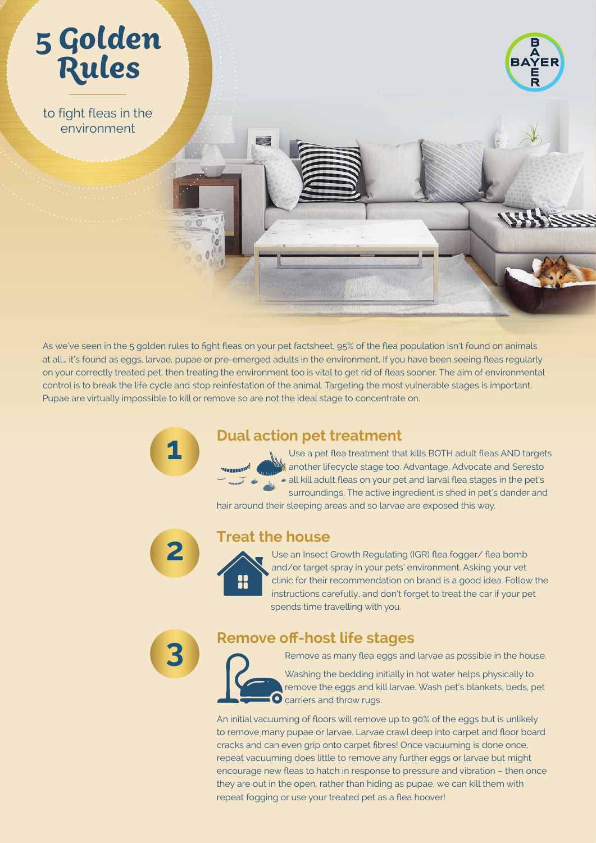# **5 Golden Rules**

to fight fleas in the environment



As we've seen in the 5 golden rules to fight fleas on your pet factsheet, 95% of the flea population isn't found on animals at all… it's found as eggs, larvae, pupae or pre-emerged adults in the environment. If you have been seeing fleas regularly on your correctly treated pet, then treating the environment too is vital to get rid of fleas sooner. The aim of environmental control is to break the life cycle and stop reinfestation of the animal. Targeting the most vulnerable stages is important. Pupae are virtually impossible to kill or remove so are not the ideal stage to concentrate on.



V.e

# **Dual action pet treatment**

Use a pet flea treatment that kills BOTH adult fleas AND targets another lifecycle stage too. Advantage, Advocate and Seresto  $\ddot{\phantom{1}}$  all kill adult fleas on your pet and larval flea stages in the pet's surroundings. The active ingredient is shed in pet's dander and

hair around their sleeping areas and so larvae are exposed this way.



#### **Treat the house**

Use an Insect Growth Regulating (IGR) flea fogger/ flea bomb and/or target spray in your pets' environment. Asking your vet clinic for their recommendation on brand is a good idea. Follow the instructions carefully, and don't forget to treat the car if your pet spends time travelling with you.

**3**

## **Remove off-host life stages**

Remove as many flea eggs and larvae as possible in the house.



Washing the bedding initially in hot water helps physically to remove the eggs and kill larvae. Wash pet's blankets, beds, pet **O** carriers and throw rugs.

An initial vacuuming of floors will remove up to 90% of the eggs but is unlikely to remove many pupae or larvae. Larvae crawl deep into carpet and floor board cracks and can even grip onto carpet fibres! Once vacuuming is done once, repeat vacuuming does little to remove any further eggs or larvae but might encourage new fleas to hatch in response to pressure and vibration – then once they are out in the open, rather than hiding as pupae, we can kill them with repeat fogging or use your treated pet as a flea hoover!